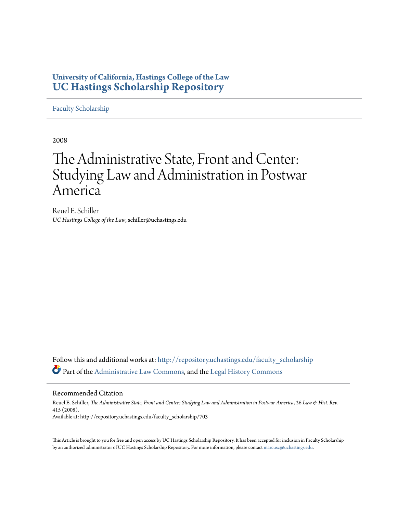### **University of California, Hastings College of the Law [UC Hastings Scholarship Repository](http://repository.uchastings.edu?utm_source=repository.uchastings.edu%2Ffaculty_scholarship%2F703&utm_medium=PDF&utm_campaign=PDFCoverPages)**

[Faculty Scholarship](http://repository.uchastings.edu/faculty_scholarship?utm_source=repository.uchastings.edu%2Ffaculty_scholarship%2F703&utm_medium=PDF&utm_campaign=PDFCoverPages)

2008

# The Administrative State, Front and Center: Studying Law and Administration in Postwar America

Reuel E. Schiller *UC Hastings College of the Law*, schiller@uchastings.edu

Follow this and additional works at: [http://repository.uchastings.edu/faculty\\_scholarship](http://repository.uchastings.edu/faculty_scholarship?utm_source=repository.uchastings.edu%2Ffaculty_scholarship%2F703&utm_medium=PDF&utm_campaign=PDFCoverPages) Part of the [Administrative Law Commons,](http://network.bepress.com/hgg/discipline/579?utm_source=repository.uchastings.edu%2Ffaculty_scholarship%2F703&utm_medium=PDF&utm_campaign=PDFCoverPages) and the [Legal History Commons](http://network.bepress.com/hgg/discipline/904?utm_source=repository.uchastings.edu%2Ffaculty_scholarship%2F703&utm_medium=PDF&utm_campaign=PDFCoverPages)

#### Recommended Citation

Reuel E. Schiller, *The Administrative State, Front and Center: Studying Law and Administration in Postwar America*, 26 *Law & Hist. Rev.* 415 (2008). Available at: http://repository.uchastings.edu/faculty\_scholarship/703

This Article is brought to you for free and open access by UC Hastings Scholarship Repository. It has been accepted for inclusion in Faculty Scholarship by an authorized administrator of UC Hastings Scholarship Repository. For more information, please contact [marcusc@uchastings.edu](mailto:marcusc@uchastings.edu).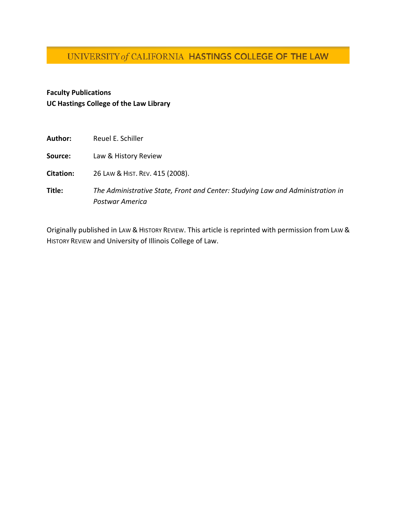## UNIVERSITY of CALIFORNIA HASTINGS COLLEGE OF THE LAW

### **Faculty Publications UC Hastings College of the Law Library**

| Author:          | Reuel E. Schiller                                                                                 |
|------------------|---------------------------------------------------------------------------------------------------|
| Source:          | Law & History Review                                                                              |
| <b>Citation:</b> | 26 LAW & HIST. REV. 415 (2008).                                                                   |
| Title:           | The Administrative State, Front and Center: Studying Law and Administration in<br>Postwar America |

Originally published in LAW & HISTORY REVIEW. This article is reprinted with permission from LAW & HISTORY REVIEW and University of Illinois College of Law.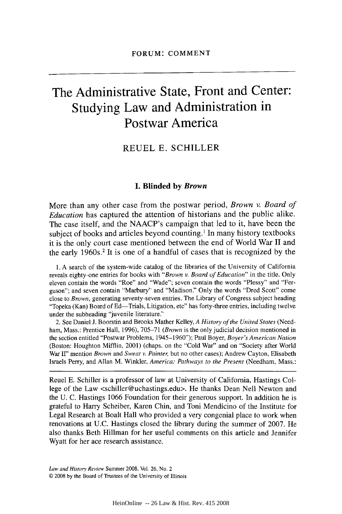# The Administrative State, Front and Center: Studying Law and Administration in Postwar America

#### **REUEL E.** SCHILLER

#### **I. Blinded by Brown**

More than any other case from the postwar period, *Brown v. Board of Education* has captured the attention of historians and the public alike. The case itself, and the NAACP's campaign that led to it, have been the subject of books and articles beyond counting.' In many history textbooks it is the only court case mentioned between the end of World War **II** and the early 1960s.2 It is one of a handful of cases that is recognized **by** the

**1. A** search of the system-wide catalog of the libraries of the University of California reveals eighty-one entries for books with *"Brown v. Board of Education"* in the title. Only eleven contain the words "Roe" and "Wade"; seven contain the words "Plessy" and "Ferguson"; and seven contain "Marbury" and "Madison." Only the words "Dred Scott" come close to *Brown,* generating seventy-seven entries. The Library of Congress subject heading "Topeka (Kan) Board of Ed-Trials, Litigation, etc" has forty-three entries, including twelve under the subheading "juvenile literature."

2. See Daniel **J.** Boorstin and Brooks Mather Kelley, *A History of the United States* (Needham, Mass.: Prentice Hall, 1996), **705-71** *(Brown* is the only judicial decision mentioned in the section entitled "Postwar Problems, **1945-1960");** Paul Boyer, *Boyer's American Nation* (Boston: Houghton Mifflin, 2001) (chaps. on the "Cold War" and on "Society after World War **II"** mention *Brown* and *Sweat v. Painter,* but no other cases); Andrew Cayton, Elisabeth Israels Perry, and Allan M. Winkler, *America.: Pathways to the Present* (Needham, Mass.:

Reuel E. Schiller is a professor of law at University of California, Hastings College of the Law <schiller@uchastings.edu>. He thanks Dean Nell Newton and the **U. C.** Hastings **1066** Foundation for their generous support. In addition he is grateful to Harry Scheiber, Karen Chin, and Toni Mendicino of the Institute for Legal Research at Boalt Hall who provided a very congenial place to work when renovations at **U.C.** Hastings closed the library during the summer of **2007.** He also thanks Beth Hillman for her useful comments on this article and Jennifer Wyatt for her ace research assistance.

*Law and History Review* Summer 2008, Vol. **26,** No. 2 © **2008** by the Board of Trustees of the University of Illinois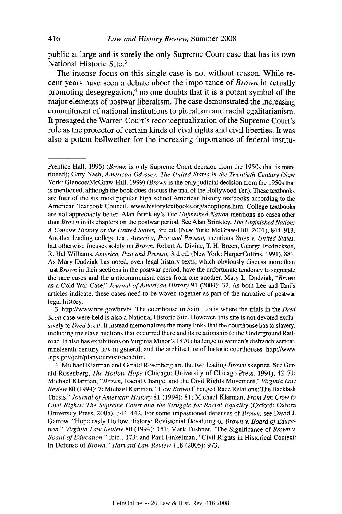public at large and is surely the only Supreme Court case that has its own National Historic Site.3

The intense focus on this single case is not without reason. While recent years have seen a debate about the importance of *Brown* in actually promoting desegregation,<sup>4</sup> no one doubts that it is a potent symbol of the major elements of postwar liberalism. The case demonstrated the increasing commitment of national institutions to pluralism and racial egalitarianism. It presaged the Warren Court's reconceptualization of the Supreme Court's role as the protector of certain kinds of civil rights and civil liberties. It was also a potent bellwether for the increasing importance of federal institu-

Prentice Hall, 1995) *(Brown* is only Supreme Court decision from the 1950s that is mentioned); Gary Nash, *American Odyssey: The United States in the Twentieth Century* (New York: Glencoe/McGraw-Hill, 1999) *(Brown* is the only judicial decision from the 1950s that is mentioned, although the book does discuss the trial of the Hollywood Ten). These textbooks are four of the six most popular high school American history textbooks according to the American Textbook Council. www.historytextbooks.org/adoptions.htm. College textbooks are not appreciably better. Alan Brinkley's *The Unfinished Nation* mentions no cases other than *Brown* in its chapters on the postwar period. See Alan Brinkley, *The Unfinished Nation: A Concise History of the United States,* 3rd ed. (New York: McGraw-Hill, 2001), 844-913. Another leading college text, *America, Past and Present,* mentions *Yates v. United States,* but otherwise focuses solely on *Brown.* Robert A. Divine, T. H. Breen, George Fredrickson, R. Hal Williams, *America, Past and Present,* 3rd ed. (New York: HarperCollins, 1991), 881. As Mary Dudziak has noted, even legal history texts, which obviously discuss more than just *Brown* in their sections in the postwar period, have the unfortunate tendency to segregate the race cases and the anticommunism cases from one another. Mary L. Dudziak, *"Brown* as a Cold War Case," *Journal of American History* 91 (2004): 32. As both Lee and Tani's articles indicate, these cases need to be woven together as part of the narrative of postwar legal history.

<sup>3.</sup> http://www.nps.gov/brvb/. The courthouse in Saint Louis where the trials in the *Dred Scott* case were held is also a National Historic Site. However, this site is not devoted exclusively to *Dred Scott.* It instead memorializes the many links that the courthouse has to slavery, including the slave auctions that occurred there and its relationship to the Underground Railroad. It also has exhibitions on Virginia Minor's 1870 challenge to women's disfranchisement, nineteenth-century law in general, and the architecture of historic courthouses. http://www .nps.gov/jeff/planyourvisit/och.htm.

<sup>4.</sup> Michael Klarman and Gerald Rosenberg are the two leading *Brown* skeptics. See Gerald Rosenberg, *The Hollow Hope* (Chicago: University of Chicago Press, 1991), 42-71; Michael Klarman, *"Brown,* Racial Change, and the Civil Rights Movement," *Virginia Law Review* 80 (1994): 7; Michael Klarman, "How *Brown* Changed Race Relations: The Backlash Thesis," *Journal of American History* 81 (1994): 81; Michael Klarman, *From Jim Crow to Civil Rights: The Supreme Court and the Struggle for Racial Equality* (Oxford: Oxford University Press, 2005), 344-442. For some impassioned defenses of *Brown,* see David J. Garrow, "Hopelessly Hollow History: Revisionist Devaluing of *Brown v. Board of Education," Virginia Law Review* 80 (1994): 151; Mark Tushnet, "The Significance of *Brown v. Board of Education,"* ibid., 173; and Paul Finkelman, "Civil Rights in Historical Context: In Defense of *Brown," Harvard Law Review* 118 (2005): 973.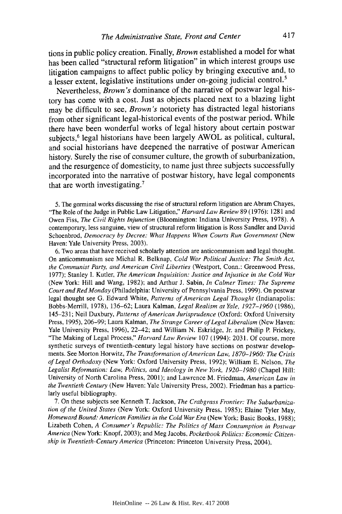tions in public policy creation. Finally, *Brown* established a model for what has been called "structural reform litigation" in which interest groups use litigation campaigns to affect public policy **by** bringing executive and, to a lesser extent, legislative institutions under on-going judicial control.'

Nevertheless, *Brown's* dominance of the narrative of postwar legal history has come with a cost. Just as objects placed next to a blazing light may be difficult to see, *Brown's* notoriety has distracted legal historians from other significant legal-historical events of the postwar period. While there have been wonderful works of legal history about certain postwar subjects,<sup>6</sup> legal historians have been largely AWOL as political, cultural, and social historians have deepened the narrative of postwar American history. Surely the rise of consumer culture, the growth of suburbanization, and the resurgence of domesticity, to name just three subjects successfully incorporated into the narrative of postwar history, have legal components that are worth investigating.<sup>7</sup>

5. The germinal works discussing the rise of structural reform litigation are Abram Chayes, "The Role of the Judge in Public Law Litigation," *Harvard Law Review* 89 (1976): 1281 and Owen Fiss, *The Civil Rights Injunction* (Bloomington: Indiana University Press, 1978). A contemporary, less sanguine, view of structural reform litigation is Ross Sandier and David Schoenbrod, *Democracy by Decree: What Happens When Courts Run Government* (New Haven: Yale University Press, 2003).

6. Two areas that have received scholarly attention are anticommunism and legal thought. On anticommunism see Michal R. Belknap, *Cold War Political Justice: The Smith Act, the* Communist Party, *and American Civil Liberties* (Westport, Conn.: Greenwood Press, 1977); Stanley I. Kutler, *The American Inquisition: Justice and Injustice in the Cold War* (New York: Hill and Wang, 1982); and Arthur J. Sabin, *In Calner Times: The Supreme Court and Red Monday* (Philadelphia: University of Pennsylvania Press, 1999). On postwar legal thought see G. Edward White, *Patterns of American Legal Thought* (Indianapolis: Bobbs-Merrill, 1978), 136-62; Laura Kalman, *Legal Realism at Yale, 1927-1960* (1986), 145-231; Neil Duxbury, Patterns *of American Jurisprudence* (Oxford: Oxford University Press, 1995), 206-99; Laura Kalman, *The Strange Career of Legal Liberalism* (New Haven: Yale University Press, 1996), 22-42; and William N. Eskridge, Jr. and Philip P. Frickey, "The Making of Legal Process," *Harvard Law Review* 107 (1994): 2031. Of course, more synthetic surveys of twentieth-century legal history have sections on postwar developments. See Morton Horwitz, *The Transformation of American Law, 1870-1960: The Crisis of Legal Orthodoxy* (New York: Oxford University Press, 1992); William E. Nelson, *The Legalist Reformation: Law, Politics, and Ideology in New York, 1920-1980* (Chapel Hill: University of North Carolina Press, 2001); and Lawrence M. Friedman, *American Law in the Twentieth* Century (New Haven: Yale University Press, 2002). Friedman has a particularly useful bibliography.

7. On these subjects see Kenneth T. Jackson, *The Crabgrass Frontier: The Suburbanization of the United States* (New York: Oxford University Press, 1985); Elaine Tyler May, *Homeward Bound: American Families in the Cold War Era* (New York: Basic Books, 1988); Lizabeth Cohen, *A Consumer's Republic: The Politics of Mass Consumption in Postwar America* (New York: Knopf, 2003); and Meg Jacobs, *Pocketbook Politics: Economic Citizenship in Twentieth-Century America* (Princeton: Princeton University Press, 2004).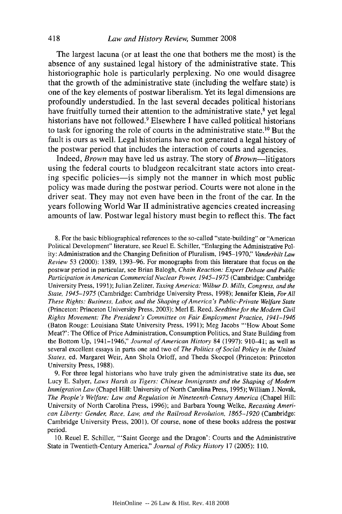The largest lacuna (or at least the one that bothers me the most) is the absence of any sustained legal history of the administrative state. This historiographic hole is particularly perplexing. No one would disagree that the growth of the administrative state (including the welfare state) is one of the key elements of postwar liberalism. Yet its legal dimensions are profoundly understudied. In the last several decades political historians have fruitfully turned their attention to the administrative state, $<sup>8</sup>$  yet legal</sup> historians have not followed.<sup>9</sup> Elsewhere I have called political historians to task for ignoring the role of courts in the administrative state. 10 But the fault is ours as well. Legal historians have not generated a legal history of the postwar period that includes the interaction of courts and agencies.

Indeed, *Brown* may have led us astray. The story of Brown-litigators using the federal courts to bludgeon recalcitrant state actors into creating specific policies—is simply not the manner in which most public policy was made during the postwar period. Courts were not alone in the driver seat. They may not even have been in the front of the car. In the years following World War II administrative agencies created increasing amounts of law. Postwar legal history must begin to reflect this. The fact

8. For the basic bibliographical references to the so-called "state-building" or "American Political Development" literature, see Reuel E. Schiller, "Enlarging the Administrative Polity: Administration and the Changing Definition of Pluralism, 1945-1970," *Vanderbilt Law Review* 53 (2000): 1389, 1393-96. For monographs from this literature that focus on the postwar period in particular, see Brian Balogh, *Chain Reaction: Expert Debate and Public Participation in American Commercial Nuclear Power, 1945-1975* (Cambridge: Cambridge University Press, 1991); Julian Zelizer, *Taxing America: Wilbur D. Mills, Congress, and the State, 1945-1975* (Cambridge: Cambridge University Press, 1998); Jennifer Klein, *ForAll These Rights: Business, Labor, and the Shaping of America's Public-Private Welfare State* (Princeton: Princeton University Press, 2003); Merl E. Reed, *Seedtime for the Modern Civil Rights Movement: The President's Committee on Fair Employment Practice, 1941-1946* (Baton Rouge: Louisiana State University Press, 1991); Meg Jacobs "'How About Some Meat?': The Office of Price Administration, Consumption Politics, and State Building from the Bottom Up, 1941-1946," *Journal of American History* 84 (1997): 910-41; as well as several excellent essays in parts one and two of *The Politics of Social Policy in the United States,* ed. Margaret Weir, Ann Shola Orloff, and Theda Skocpol (Princeton: Princeton University Press, 1988).

9. For three legal historians who have truly given the administrative state its due, see Lucy E. Salyer, *Laws Harsh as Tigers: Chinese Immigrants and the Shaping of Modern Immigration Law* (Chapel Hill: University of North Carolina Press, 1995); William J. Novak, *The People's Welfare: Law and Regulation in Nineteenth-Century America* (Chapel Hill: University of North Carolina Press, 1996); and Barbara Young Welke, *Recasting* Ameri*can Liberty: Gender, Race, Law, and the Railroad Revolution, 1865-1920* (Cambridge: Cambridge University Press, 2001). Of course, none of these books address the postwar period.

10. Reuel E. Schiller, "'Saint George and the Dragon': Courts and the Administrative State in Twentieth-Century America" *Journal of Policy History* 17 (2005): 110.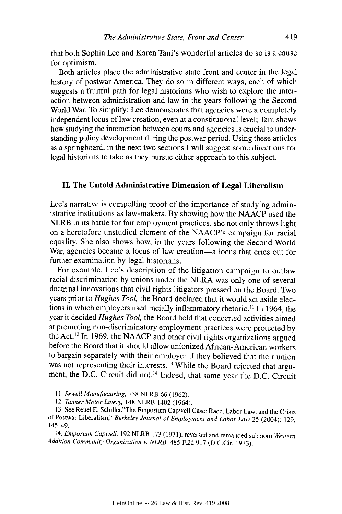that both Sophia Lee and Karen Tani's wonderful articles do so is a cause for optimism.

Both articles place the administrative state front and center in the legal history of postwar America. They do so in different ways, each of which suggests a fruitful path for legal historians who wish to explore the interaction between administration and law in the years following the Second World War. To simplify: Lee demonstrates that agencies were a completely independent locus of law creation, even at a constitutional level; Tani shows how studying the interaction between courts and agencies is crucial to understanding policy development during the postwar period. Using these articles as a springboard, in the next two sections I will suggest some directions for legal historians to take as they pursue either approach to this subject.

#### **II. The Untold Administrative Dimension of Legal Liberalism**

Lee's narrative is compelling proof of the importance of studying administrative institutions as law-makers. By showing how the NAACP used the NLRB in its battle for fair employment practices, she not only throws light on a heretofore unstudied element of the NAACP's campaign for racial equality. She also shows how, in the years following the Second World War, agencies became a locus of law creation-a locus that cries out for further examination by legal historians.

For example, Lee's description of the litigation campaign to outlaw racial discrimination by unions under the NLRA was only one of several doctrinal innovations that civil rights litigators pressed on the Board. Two years prior to *Hughes Tool,* the Board declared that it would set aside elections in which employers used racially inflammatory rhetoric.<sup>11</sup> In 1964, the year it decided *Hughes Tool,* the Board held that concerted activities aimed at promoting non-discriminatory employment practices were protected by the Act.<sup>12</sup> In 1969, the NAACP and other civil rights organizations argued before the Board that it should allow unionized African-American workers to bargain separately with their employer if they believed that their union was not representing their interests.<sup>13</sup> While the Board rejected that argument, the D.C. Circuit did not.<sup>14</sup> Indeed, that same year the D.C. Circuit

*11. Sewell Manufacturing,* 138 NLRB 66 (1962).

12. *Tanner Motor Livery,* 148 NLRB 1402 (1964).

13. See Reuel E. Schiller,"The Emporium Capwell Case: Race, Labor Law, and the Crisis of Postwar Liberalism," *Berkeley Journal of Employment and Labor Law* 25 (2004): 129, 145-49.

14. *Emporium Capwell,* 192 NLRB 173 (1971), reversed and remanded sub nom *Western Addition Community Organization v: NLRB,* 485 **F.2d** 917 (D.C.Cir. 1973).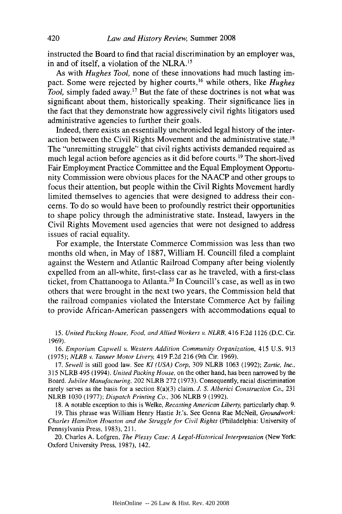instructed the Board to find that racial discrimination by an employer was, in and of itself, a violation of the NLRA.<sup>15</sup>

As with *Hughes Tool,* none of these innovations had much lasting impact. Some were rejected by higher courts,16 while others, like *Hughes Tool,* simply faded away.<sup>17</sup> But the fate of these doctrines is not what was significant about them, historically speaking. Their significance lies in the fact that they demonstrate how aggressively civil rights litigators used administrative agencies to further their goals.

Indeed, there exists an essentially unchronicled legal history of the interaction between the Civil Rights Movement and the administrative state.<sup>18</sup> The "unremitting struggle" that civil rights activists demanded required as much legal action before agencies as it did before courts.<sup>19</sup> The short-lived Fair Employment Practice Committee and the Equal Employment Opportunity Commission were obvious places for the NAACP and other groups to focus their attention, but people within the Civil Rights Movement hardly limited themselves to agencies that were designed to address their concerns. To do so would have been to profoundly restrict their opportunities to shape policy through the administrative state. Instead, lawyers in the Civil Rights Movement used agencies that were not designed to address issues of racial equality.

For example, the Interstate Commerce Commission was less than two months old when, in May of 1887, William H. Councill filed a complaint against the Western and Atlantic Railroad Company after being violently expelled from an all-white, first-class car as he traveled, with a first-class ticket, from Chattanooga to Atlanta.<sup>20</sup> In Councill's case, as well as in two others that were brought in the next two years, the Commission held that the railroad companies violated the Interstate Commerce Act by failing to provide African-American passengers with accommodations equal to

15. *United Packing House, Food, and Allied Workers v. NLRB,* 416 F.2d 1126 (D.C. Cir. 1969).

16. *Emporium Capwell v. Western Addition Community Organization,* 415 U.S. 913 (1975); *NLRB v. Tanner Motor Livery,* 419 **F.2d** 216 (9th Cir. 1969).

17. *Sewell* is still good law. See *KI (USA) Corp,* 309 NLRB 1063 (1992); *Zartic, Inc.,* 315 NLRB 495 (1994). *United Packing House,* on the other hand, has been narrowed by the Board. *Jubilee Manufacturing,* 202 NLRB 272 (1973). Consequently, racial discrimination rarely serves as the basis for a section 8(a)(3) claim. *J. S. Alberici Construction Co.,* <sup>231</sup> NLRB 1030 (1977); *Dispatch Printing Co.,* 306 NLRB 9 (1992).

18. A notable exception to this is Welke, *Recasting American Liberty,* particularly chap. 9.

19. This phrase was William Henry Hastie Jr.'s. See Genna Rae McNeil, *Groundwork: Charles Hamilton Houston and the Struggle for Civil Rights* (Philadelphia: University of Pennsylvania Press, 1983), 211.

20. Charles A. Lofgren, *The Plessy Case: A Legal-Historical Interpretation* (New York: Oxford University Press, 1987), 142.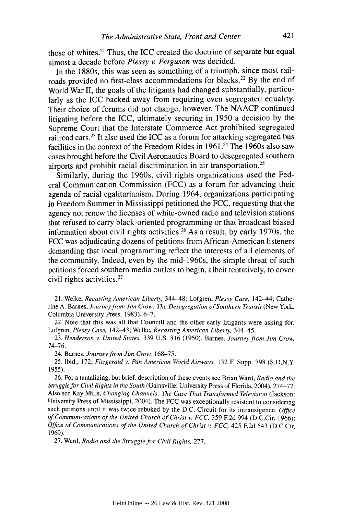those of whites. 21 Thus, the **ICC** created the doctrine of separate but equal almost a decade before *Plessy v. Ferguson* was decided.

In the 1880s, this was seen as something of a triumph, since most railroads provided no first-class accommodations for blacks. <sup>2</sup> ' **By** the end of World War **II,** the goals of the litigants had changed substantially, particularly as the **ICC** backed away from requiring even segregated equality. Their choice of forums did not change, however. The **NAACP** continued litigating before the **ICC,** ultimately securing in **1950** a decision **by** the Supreme Court that the Interstate Commerce Act prohibited segregated railroad cars.<sup>23</sup> It also used the ICC as a forum for attacking segregated bus facilities in the context of the Freedom Rides in **1961 .4** The 1960s also saw cases brought before the Civil Aeronautics Board to desegregated southern airports and prohibit racial discrimination in air transportation.<sup>25</sup>

Similarly, during the 1960s, civil rights organizations used the Federal Communication Commission **(FCC)** as a forum for advancing their agenda of racial egalitarianism. During 1964, organizations participating in Freedom Summer in Mississippi petitioned the **FCC,** requesting that the agency not renew the licenses of white-owned radio and television stations that refused to carry black-oriented programming or that broadcast biased information about civil rights activities.<sup>26</sup> As a result, by early 1970s, the **FCC** was adjudicating dozens of petitions from African-American listeners demanding that local programming reflect the interests of all elements of the community. Indeed, even **by** the mid-1960s, the simple threat of such petitions forced southern media outlets to begin, albeit tentatively, to cover civil rights activities. $27$ 

**21.** Welke, *Recasting American Liberty,* 344-48; Lofgren, *Plessy Case,* 142-44; Catherine **A.** Barnes, *Journey from Jim Crow: The Desegregation of Southern Transit* (New York: Columbia University Press, **1983), 6-7.**

22. Note that this was all that Councill and the other early litigants were asking for. Lofgren, *Plessy Case,* 142-43; Welke, *Recasting American Liberty,* 344-45.

**23.** *Henderson v. United States,* **339 U.S. 816 (1950).** Barnes, *Journey from Jim Crow,* **74-76.**

24. Barnes, *Journey from Jim Crow,* **168-75.**

**25.** Ibid., **172;** *Fitzgerald v. Pan American World Airways,* **132** F. Supp. **798 (S.D.N.Y. 1955).**

**26.** For a tantalizing, but brief, description of these events see Brian Ward, *Radio and the Struggle for Civil Rights in the South* (Gainsville: University Press of Florida, 2004), **274-77.** Also see Kay Mills, *Changing Channels: The Case That Transformed Television* (Jackson: University Press of Mississippi, 2004). The **FCC** was exceptionally resistant to considering such petitions until it was twice rebuked **by** the **D.C.** Circuit for its intransigence. *Office of Communications of the United Church of Christ v. FCC,* **359 F.2d** 994 (D.C.Cir. **1966);** *Office of Communications of the United Church of Christ 1. FCC,* 425 **F.2d** 543 (D.C.Cir. **1969).**

**27.** Ward, *Radio and the Struggle for Civil Rights,* **277.**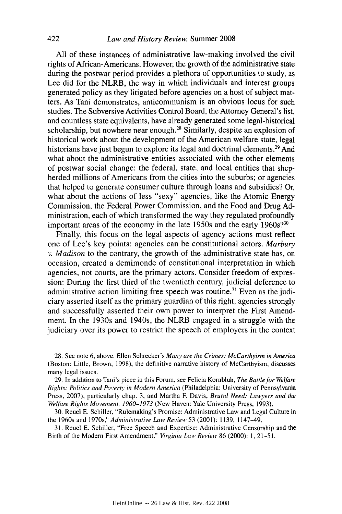#### 422 *Law and History Review,* Summer 2008

All of these instances of administrative law-making involved the civil rights of African-Americans. However, the growth of the administrative state during the postwar period provides a plethora of opportunities to study, as Lee did for the NLRB, the way in which individuals and interest groups generated policy as they litigated before agencies on a host of subject matters. As Tani demonstrates, anticommunism is an obvious locus for such studies. The Subversive Activities Control Board, the Attorney General's list, and countless state equivalents, have already generated some legal-historical scholarship, but nowhere near enough.<sup>28</sup> Similarly, despite an explosion of historical work about the development of the American welfare state, legal historians have just begun to explore its legal and doctrinal elements.<sup>29</sup> And what about the administrative entities associated with the other elements of postwar social change: the federal, state, and local entities that shepherded millions of Americans from the cities into the suburbs; or agencies that helped to generate consumer culture through loans and subsidies? Or, what about the actions of less "sexy" agencies, like the Atomic Energy Commission, the Federal Power Commission, and the Food and Drug Administration, each of which transformed the way they regulated profoundly important areas of the economy in the late 1950s and the early  $1960s$ ?<sup>30</sup>

Finally, this focus on the legal aspects of agency actions must reflect one of Lee's key points: agencies can be constitutional actors. *Marbury v. Madison* to the contrary, the growth of the administrative state has, on occasion, created a demimonde of constitutional interpretation in which agencies, not courts, are the primary actors. Consider freedom of expression: During the first third of the twentieth century, judicial deference to administrative action limiting free speech was routine.<sup>31</sup> Even as the judiciary asserted itself as the primary guardian of this right, agencies strongly and successfully asserted their own power to interpret the First Amendment. In the 1930s and 1940s, the NLRB engaged in a struggle with the judiciary over its power to restrict the speech of employers in the context

28. See note 6, above. Ellen Schrecker's *Many are the Crimes: McCarthyism in America* (Boston: Little, Brown, 1998), the definitive narrative history of McCarthyism, discusses many legal issues.

29. In addition to Tani's piece in this Forum, see Felicia Kornbluh, *The Battlefor Welfare Rights:* Politics *and Poverty in* Modern *America* (Philadelphia: University of Pennsylvania Press, 2007), particularly chap. 3, and Martha F. Davis, *Brutal Need: Lawyers and the Welfare Rights Movement, 1960-1973* (New Haven: Yale University Press, 1993).

30. Reuel E. Schiller, "Rulemaking's Promise: Administrative Law and Legal Culture in the 1960s and 1970s," *Administrative Law Review* 53 (2001): 1139, 1147-49.

31. Reuel **E.** Schiller, "Free Speech and Expertise: Administrative Censorship and the Birth of the Modern First Amendment," *Virginia Law Review* 86 (2000): 1, 21-51.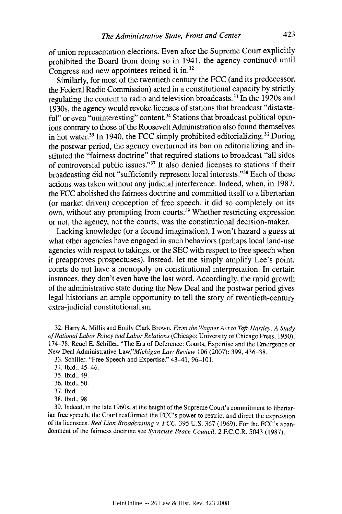of union representation elections. Even after the Supreme Court explicitly prohibited the Board from doing so in 1941, the agency continued until Congress and new appointees reined it **in.<sup>32</sup>**

Similarly, for most of the twentieth century the **FCC** (and its predecessor, the Federal Radio Commission) acted in a constitutional capacity **by** strictly regulating the content to radio and television broadcasts.<sup>33</sup> In the 1920s and 1930s, the agency would revoke licenses of stations that broadcast "distasteful" or even "uninteresting" content.<sup>34</sup> Stations that broadcast political opinions contrary to those of the Roosevelt Administration also found themselves in hot water.35 In 1940, the **FCC** simply prohibited editorializing.36 During the postwar period, the agency overturned its ban on editorializing and instituted the "fairness doctrine" that required stations to broadcast "all sides of controversial public issues."37 It also denied licenses to stations if their broadcasting did not "sufficiently represent local interests."38 Each of these actions was taken without any judicial interference. Indeed, when, in **1987,** the **FCC** abolished the fairness doctrine and committed itself to a libertarian (or market driven) conception of free speech, it did so completely on its own, without any prompting from courts.<sup>39</sup> Whether restricting expression or not, the agency, not the courts, was the constitutional decision-maker.

Lacking knowledge (or a fecund imagination), **I** won't hazard a guess at what other agencies have engaged in such behaviors (perhaps local land-use agencies with respect to takings, or the **SEC** with respect to free speech when it preapproves prospectuses). Instead, let me simply amplify Lee's point: courts do not have a monopoly on constitutional interpretation. In certain instances, they don't even have the last word. Accordingly, the rapid growth of the administrative state during the New Deal and the postwar period gives legal historians an ample opportunity to tell the story of twentieth-century extra-judicial constitutionalism.

**32.** Harry **A.** Millis and Emily Clark Brown, *From the Wagner Act to Taft-Hartley: A Study of National Labor Policy and Labor Relations* (Chicago: University of Chicago Press, **1950), 174-78;** Reuel **E.** Schiller, "The Era of Deference: Courts, Expertise and the Emergence of New Deal Administrative *Law,"Michigan Law Review* **106 (2007): 399, 436-38.**

**33.** Schiller, "Free Speech and Expertise," 43-41, **96-101.**

- 34. Ibid., 45-46.
- **35.** Ibid., 49.
- **36.** Ibid., **50.**
- **37.** Ibid.
- **38.** Ibid., **98.**

**39.** Indeed, in the late 1960s, at the height of the Supreme Court's commitment to libertarian free speech, the Court reaffirmed the FCC's power to restrict and direct the expression **of** its licensees. *Red Lion Broadcasting v. FCC,* **395 U.S. 367 (1969).** For the FCC's abandonment of the fairness doctrine see *Syracuse Peace Council,* 2 F.C.C.R. 5043 **(1987).**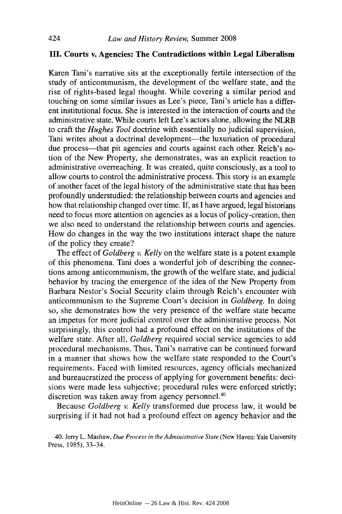#### **III. Courts v. Agencies: The Contradictions within Legal Liberalism**

Karen Tani's narrative sits at the exceptionally fertile intersection of the study of anticommunism, the development of the welfare state, and the rise of rights-based legal thought. While covering a similar period and touching on some similar issues as Lee's piece, Tani's article has a different institutional focus. She is interested in the interaction of courts and the administrative state. While courts left Lee's actors alone, allowing the NLRB to craft the *Hughes Tool* doctrine with essentially no judicial supervision, Tani writes about a doctrinal development—the luxuriation of procedural due process—that pit agencies and courts against each other. Reich's notion of the New Property, she demonstrates, was an explicit reaction to administrative overreaching. It was created, quite consciously, as a tool to allow courts to control the administrative process. This story is an example of another facet of the legal history of the administrative state that has been profoundly understudied: the relationship between courts and agencies and how that relationship changed over time. If, as I have argued, legal historians need to focus more attention on agencies as a locus of policy-creation, then we also need to understand the relationship between courts and agencies. How do changes in the way the two institutions interact shape the nature of the policy they create?

The effect of *Goldberg v. Kelly* on the welfare state is a potent example of this phenomena. Tani does a wonderful job of describing the connections among anticommunism, the growth of the welfare state, and judicial behavior by tracing the emergence of the idea of the New Property from Barbara Nestor's Social Security claim through Reich's encounter with anticommunism to the Supreme Court's decision in *Goldberg.* In doing so, she demonstrates how the very presence of the welfare state became an impetus for more judicial control over the administrative process. Not surprisingly, this control had a profound effect on the institutions of the welfare state. After all, *Goldberg* required social service agencies to add procedural mechanisms. Thus, Tani's narrative can be continued forward in a manner that shows how the welfare state responded to the Court's requirements. Faced with limited resources, agency officials mechanized and bureaucratized the process of applying for government benefits: decisions were made less subjective; procedural rules were enforced strictly; discretion was taken away from agency personnel.<sup>40</sup>

Because *Goldberg v. Kelly* transformed due process law, it would be surprising if it had not had a profound effect on agency behavior and the

<sup>40.</sup> Jerry L. Mashaw, Due Process *in the Administrative State* (New Haven: Yale University Press, 1985), 33-34.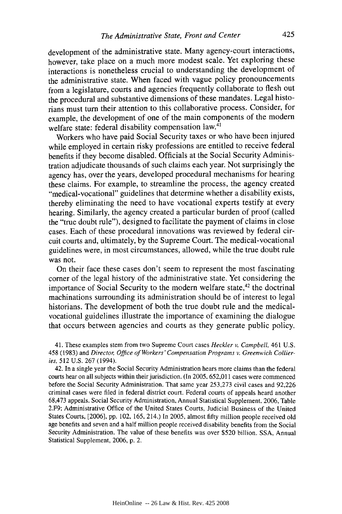development of the administrative state. Many agency-court interactions, however, take place on a much more modest scale. Yet exploring these interactions is nonetheless crucial to understanding the development of the administrative state. When faced with vague policy pronouncements from a legislature, courts and agencies frequently collaborate to flesh out the procedural and substantive dimensions of these mandates. Legal historians must turn their attention to this collaborative process. Consider, for example, the development of one of the main components of the modern welfare state: federal disability compensation law.<sup>41</sup>

Workers who have paid Social Security taxes or who have been injured while employed in certain risky professions are entitled to receive federal benefits if they become disabled. Officials at the Social Security Administration adjudicate thousands of such claims each year. Not surprisingly the agency has, over the years, developed procedural mechanisms for hearing these claims. For example, to streamline the process, the agency created "medical-vocational" guidelines that determine whether a disability exists, thereby eliminating the need to have vocational experts testify at every hearing. Similarly, the agency created a particular burden of proof (called the "true doubt rule"), designed to facilitate the payment of claims in close cases. Each of these procedural innovations was reviewed by federal circuit courts and, ultimately, by the Supreme Court. The medical-vocational guidelines were, in most circumstances, allowed, while the true doubt rule was not.

On their face these cases don't seem to represent the most fascinating corner of the legal history of the administrative state. Yet considering the importance of Social Security to the modern welfare state, $42$  the doctrinal machinations surrounding its administration should be of interest to legal historians. The development of both the true doubt rule and the medicalvocational guidelines illustrate the importance of examining the dialogue that occurs between agencies and courts as they generate public policy.

41. These examples stem from two Supreme Court cases *Heckler v. Campbell,* 461 U.S. 458 (1983) and *Director, Office of Workers' Compensation Programs v. Greenwich Collieries,* 512 U.S. 267 (1994).

42. In a single year the Social Security Administration hears more claims than the federal courts hear on all subjects within their jurisdiction. (In 2005, 652,011 cases were commenced before the Social Security Administration. That same year 253,273 civil cases and 92,226 criminal cases were filed in federal district court. Federal courts of appeals heard another 68,473 appeals. Social Security Administration, Annual Statistical Supplement. 2006, Table 2.F9; Administrative Office of the United States Courts, Judicial Business of the United States Courts, [2006], pp. 102, 165, 214.) In 2005, almost fifty million people received old age benefits and seven and a half million people received disability benefits from the Social Security Administration. The value of these benefits was over \$520 billion. SSA, Annual Statistical Supplement, 2006, p. 2.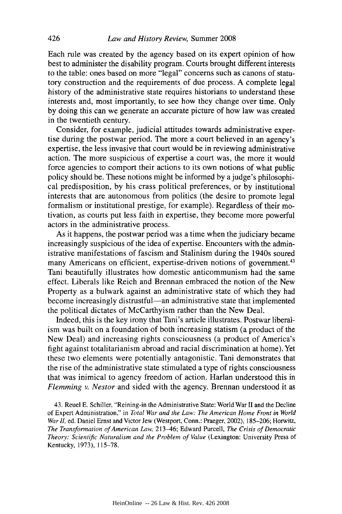Each rule was created by the agency based on its expert opinion of how best to administer the disability program. Courts brought different interests to the table: ones based on more "legal" concerns such as canons of statutory construction and the requirements of due process. A complete legal history of the administrative state requires historians to understand these interests and, most importantly, to see how they change over time. Only by doing this can we generate an accurate picture of how law was created in the twentieth century.

Consider, for example, judicial attitudes towards administrative expertise during the postwar period. The more a court believed in an agency's expertise, the less invasive that court would be in reviewing administrative action. The more suspicious of expertise a court was, the more it would force agencies to comport their actions to its own notions of what public policy should be. These notions might be informed by a judge's philosophical predisposition, by his crass political preferences, or by institutional interests that are autonomous from politics (the desire to promote legal formalism or institutional prestige, for example). Regardless of their motivation, as courts put less faith in expertise, they become more powerful actors in the administrative process.

As it happens, the postwar period was a time when the judiciary became increasingly suspicious of the idea of expertise. Encounters with the administrative manifestations of fascism and Stalinism during the 1940s soured many Americans on efficient, expertise-driven notions of government.<sup>43</sup> Tani beautifully illustrates how domestic anticommunism had the same effect. Liberals like Reich and Brennan embraced the notion of the New Property as a bulwark against an administrative state of which they had become increasingly distrustful-an administrative state that implemented the political dictates of McCarthyism rather than the New Deal.

Indeed, this is the key irony that Tani's article illustrates. Postwar liberalism was built on a foundation of both increasing statism (a product of the New Deal) and increasing rights consciousness (a product of America's fight against totalitarianism abroad and racial discrimination at home). Yet these two elements were potentially antagonistic. Tani demonstrates that the rise of the administrative state stimulated a type of rights consciousness that was inimical to agency freedom of action. Harlan understood this in *Flemming v. Nestor* and sided with the agency. Brennan understood it as

43. Reuel **E.** Schiller, "Reining-in the Administrative State: World War It and the Decline of Expert Administration," in *Total War and the Law: The American Home Front in World War II,* ed. Daniel Ernst and Victor Jew (Westport, Conn.: Praeger, 2002), 185-206; Horwitz, *The Transformation of American Law,* 213-46; Edward Purcell, *The Crisis of Democratic Theory: Scientific Naturalism and the Problem of Value (Lexington: University Press of* Kentucky, 1973), 115-78.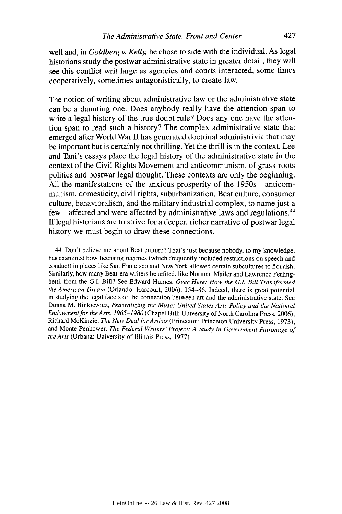well and, in *Goldberg v. Kelly,* he chose to side with the individual. As legal historians study the postwar administrative state in greater detail, they will see this conflict writ large as agencies and courts interacted, some times cooperatively, sometimes antagonistically, to create law.

The notion of writing about administrative law or the administrative state can be a daunting one. Does anybody really have the attention span to write a legal history of the true doubt rule? Does any one have the attention span to read such a history? The complex administrative state that emerged after World War **1I** has generated doctrinal administrivia that may be important but is certainly not thrilling. Yet the thrill is in the context. Lee and Tani's essays place the legal history of the administrative state in the context of the Civil Rights Movement and anticommunism, of grass-roots politics and postwar legal thought. These contexts are only the beginning. All the manifestations of the anxious prosperity of the 1950s—anticommunism, domesticity, civil rights, suburbanization, Beat culture, consumer culture, behavioralism, and the military industrial complex, to name just a few-affected and were affected by administrative laws and regulations. <sup>44</sup> If legal historians are to strive for a deeper, richer narrative of postwar legal history we must begin to draw these connections.

44. Don't believe me about Beat culture? That's just because nobody, to my knowledge, has examined how licensing regimes (which frequently included restrictions on speech and conduct) in places like San Francisco and New York allowed certain subcultures to flourish. Similarly, how many Beat-era writers benefited, like Norman Mailer and Lawrence Ferlinghetti, from the G.I. Bill? See Edward Humes, Over *Here: How the G.L Bill Transformed the American Dream* (Orlando: Harcourt, 2006), 154-86. Indeed, there is great potential in studying the legal facets of the connection between art and the administrative state. See Donna M. Binkiewicz, *Federalizing the Muse: United States Arts Policy and the National Endowment for the Arts, 1965-1980* (Chapel Hill: University of North Carolina Press, 2006); Richard McKinzie, *The New Dealfor Artists* (Princeton: Princeton University Press, 1973); and Monte Penkower, *The Federal Writers' Project: A Study in Government Patronage of the Arts* (Urbana: University of Illinois Press, 1977).